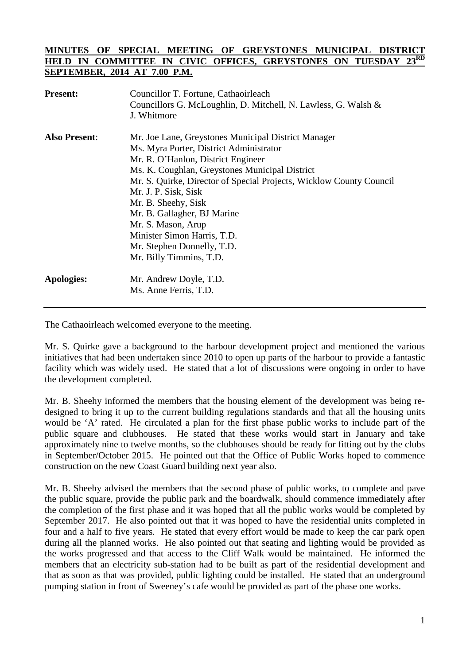## **MINUTES OF SPECIAL MEETING OF GREYSTONES MUNICIPAL DISTRICT**  HELD IN COMMITTEE IN CIVIC OFFICES, GREYSTONES ON TUESDAY **SEPTEMBER, 2014 AT 7.00 P.M.**

| <b>Present:</b>      | Councillor T. Fortune, Cathaoirleach<br>Councillors G. McLoughlin, D. Mitchell, N. Lawless, G. Walsh &<br>J. Whitmore                                                                                                                                                                                                                                                                                                          |
|----------------------|--------------------------------------------------------------------------------------------------------------------------------------------------------------------------------------------------------------------------------------------------------------------------------------------------------------------------------------------------------------------------------------------------------------------------------|
| <b>Also Present:</b> | Mr. Joe Lane, Greystones Municipal District Manager<br>Ms. Myra Porter, District Administrator<br>Mr. R. O'Hanlon, District Engineer<br>Ms. K. Coughlan, Greystones Municipal District<br>Mr. S. Quirke, Director of Special Projects, Wicklow County Council<br>Mr. J. P. Sisk, Sisk<br>Mr. B. Sheehy, Sisk<br>Mr. B. Gallagher, BJ Marine<br>Mr. S. Mason, Arup<br>Minister Simon Harris, T.D.<br>Mr. Stephen Donnelly, T.D. |
| Apologies:           | Mr. Billy Timmins, T.D.<br>Mr. Andrew Doyle, T.D.<br>Ms. Anne Ferris, T.D.                                                                                                                                                                                                                                                                                                                                                     |

The Cathaoirleach welcomed everyone to the meeting.

Mr. S. Quirke gave a background to the harbour development project and mentioned the various initiatives that had been undertaken since 2010 to open up parts of the harbour to provide a fantastic facility which was widely used. He stated that a lot of discussions were ongoing in order to have the development completed.

Mr. B. Sheehy informed the members that the housing element of the development was being redesigned to bring it up to the current building regulations standards and that all the housing units would be 'A' rated. He circulated a plan for the first phase public works to include part of the public square and clubhouses. He stated that these works would start in January and take approximately nine to twelve months, so the clubhouses should be ready for fitting out by the clubs in September/October 2015. He pointed out that the Office of Public Works hoped to commence construction on the new Coast Guard building next year also.

Mr. B. Sheehy advised the members that the second phase of public works, to complete and pave the public square, provide the public park and the boardwalk, should commence immediately after the completion of the first phase and it was hoped that all the public works would be completed by September 2017. He also pointed out that it was hoped to have the residential units completed in four and a half to five years. He stated that every effort would be made to keep the car park open during all the planned works. He also pointed out that seating and lighting would be provided as the works progressed and that access to the Cliff Walk would be maintained. He informed the members that an electricity sub-station had to be built as part of the residential development and that as soon as that was provided, public lighting could be installed. He stated that an underground pumping station in front of Sweeney's cafe would be provided as part of the phase one works.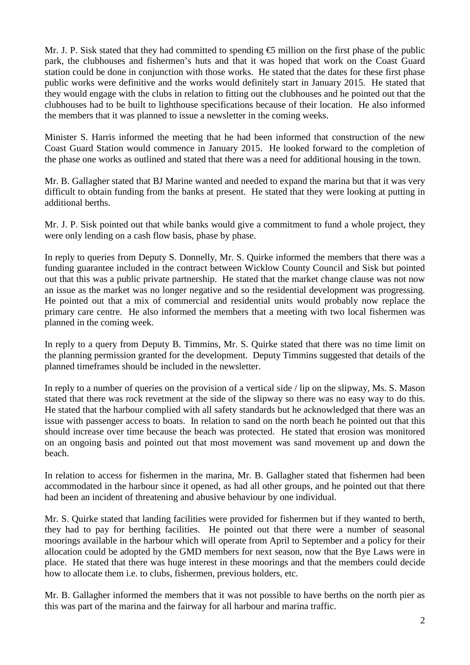Mr. J. P. Sisk stated that they had committed to spending  $\bigoplus$  million on the first phase of the public park, the clubhouses and fishermen's huts and that it was hoped that work on the Coast Guard station could be done in conjunction with those works. He stated that the dates for these first phase public works were definitive and the works would definitely start in January 2015. He stated that they would engage with the clubs in relation to fitting out the clubhouses and he pointed out that the clubhouses had to be built to lighthouse specifications because of their location. He also informed the members that it was planned to issue a newsletter in the coming weeks.

Minister S. Harris informed the meeting that he had been informed that construction of the new Coast Guard Station would commence in January 2015. He looked forward to the completion of the phase one works as outlined and stated that there was a need for additional housing in the town.

Mr. B. Gallagher stated that BJ Marine wanted and needed to expand the marina but that it was very difficult to obtain funding from the banks at present. He stated that they were looking at putting in additional berths.

Mr. J. P. Sisk pointed out that while banks would give a commitment to fund a whole project, they were only lending on a cash flow basis, phase by phase.

In reply to queries from Deputy S. Donnelly, Mr. S. Quirke informed the members that there was a funding guarantee included in the contract between Wicklow County Council and Sisk but pointed out that this was a public private partnership. He stated that the market change clause was not now an issue as the market was no longer negative and so the residential development was progressing. He pointed out that a mix of commercial and residential units would probably now replace the primary care centre. He also informed the members that a meeting with two local fishermen was planned in the coming week.

In reply to a query from Deputy B. Timmins, Mr. S. Quirke stated that there was no time limit on the planning permission granted for the development. Deputy Timmins suggested that details of the planned timeframes should be included in the newsletter.

In reply to a number of queries on the provision of a vertical side / lip on the slipway, Ms. S. Mason stated that there was rock revetment at the side of the slipway so there was no easy way to do this. He stated that the harbour complied with all safety standards but he acknowledged that there was an issue with passenger access to boats. In relation to sand on the north beach he pointed out that this should increase over time because the beach was protected. He stated that erosion was monitored on an ongoing basis and pointed out that most movement was sand movement up and down the beach.

In relation to access for fishermen in the marina, Mr. B. Gallagher stated that fishermen had been accommodated in the harbour since it opened, as had all other groups, and he pointed out that there had been an incident of threatening and abusive behaviour by one individual.

Mr. S. Quirke stated that landing facilities were provided for fishermen but if they wanted to berth, they had to pay for berthing facilities. He pointed out that there were a number of seasonal moorings available in the harbour which will operate from April to September and a policy for their allocation could be adopted by the GMD members for next season, now that the Bye Laws were in place. He stated that there was huge interest in these moorings and that the members could decide how to allocate them i.e. to clubs, fishermen, previous holders, etc.

Mr. B. Gallagher informed the members that it was not possible to have berths on the north pier as this was part of the marina and the fairway for all harbour and marina traffic.